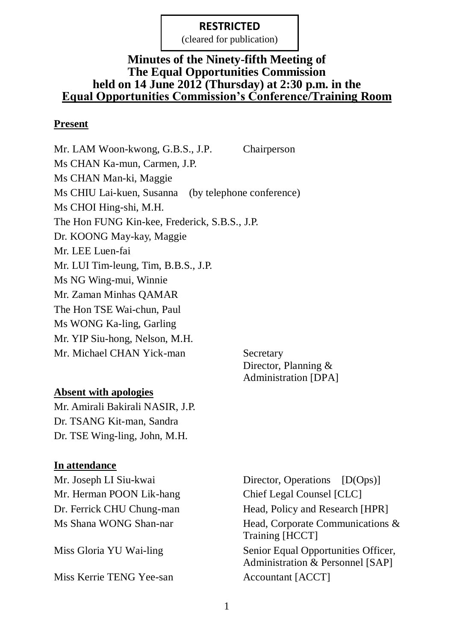(cleared for publication)

### **Minutes of the Ninety-fifth Meeting of The Equal Opportunities Commission held on 14 June 2012 (Thursday) at 2:30 p.m. in the Equal Opportunities Commission's Conference/Training Room**

#### **Present**

Mr. LAM Woon-kwong, G.B.S., J.P. Chairperson Ms CHAN Ka-mun, Carmen, J.P. Ms CHAN Man-ki, Maggie Ms CHIU Lai-kuen, Susanna (by telephone conference) Ms CHOI Hing-shi, M.H. The Hon FUNG Kin-kee, Frederick, S.B.S., J.P. Dr. KOONG May-kay, Maggie Mr. LEE Luen-fai Mr. LUI Tim-leung, Tim, B.B.S., J.P. Ms NG Wing-mui, Winnie Mr. Zaman Minhas QAMAR The Hon TSE Wai-chun, Paul Ms WONG Ka-ling, Garling Mr. YIP Siu-hong, Nelson, M.H. Mr. Michael CHAN Yick-man Secretary

Director, Planning & Administration [DPA]

### **Absent with apologies**

Mr. Amirali Bakirali NASIR, J.P. Dr. TSANG Kit-man, Sandra Dr. TSE Wing-ling, John, M.H.

### **In attendance**

Mr. Herman POON Lik-hang Chief Legal Counsel [CLC]

Miss Kerrie TENG Yee-san Accountant [ACCT]

Mr. Joseph LI Siu-kwai Director, Operations [D(Ops)] Dr. Ferrick CHU Chung-man Head, Policy and Research [HPR] Ms Shana WONG Shan-nar Head, Corporate Communications & Training [HCCT] Miss Gloria YU Wai-ling Senior Equal Opportunities Officer, Administration & Personnel [SAP]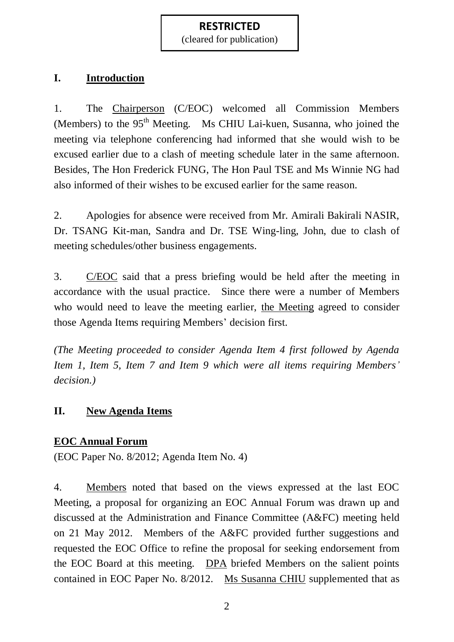(cleared for publication)

### **I. Introduction**

1. The Chairperson (C/EOC) welcomed all Commission Members (Members) to the  $95<sup>th</sup>$  Meeting. Ms CHIU Lai-kuen, Susanna, who joined the meeting via telephone conferencing had informed that she would wish to be excused earlier due to a clash of meeting schedule later in the same afternoon. Besides, The Hon Frederick FUNG, The Hon Paul TSE and Ms Winnie NG had also informed of their wishes to be excused earlier for the same reason.

2. Apologies for absence were received from Mr. Amirali Bakirali NASIR, Dr. TSANG Kit-man, Sandra and Dr. TSE Wing-ling, John, due to clash of meeting schedules/other business engagements.

3. C/EOC said that a press briefing would be held after the meeting in accordance with the usual practice. Since there were a number of Members who would need to leave the meeting earlier, the Meeting agreed to consider those Agenda Items requiring Members' decision first.

*(The Meeting proceeded to consider Agenda Item 4 first followed by Agenda Item 1, Item 5, Item 7 and Item 9 which were all items requiring Members' decision.)* 

### **II. New Agenda Items**

## **EOC Annual Forum**

(EOC Paper No. 8/2012; Agenda Item No. 4)

4. Members noted that based on the views expressed at the last EOC Meeting, a proposal for organizing an EOC Annual Forum was drawn up and discussed at the Administration and Finance Committee (A&FC) meeting held on 21 May 2012. Members of the A&FC provided further suggestions and requested the EOC Office to refine the proposal for seeking endorsement from the EOC Board at this meeting. DPA briefed Members on the salient points contained in EOC Paper No. 8/2012. Ms Susanna CHIU supplemented that as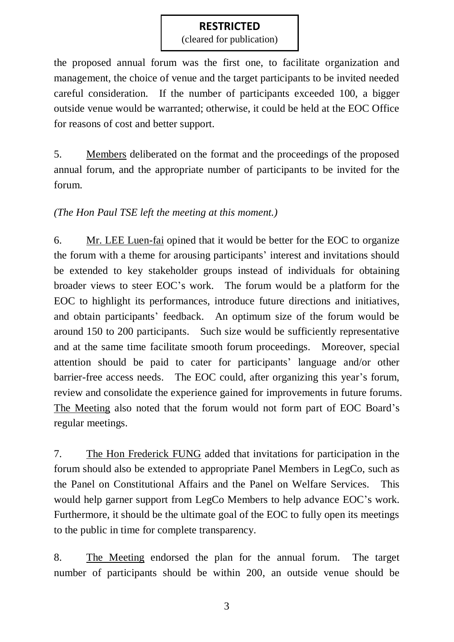(cleared for publication)

the proposed annual forum was the first one, to facilitate organization and management, the choice of venue and the target participants to be invited needed careful consideration. If the number of participants exceeded 100, a bigger outside venue would be warranted; otherwise, it could be held at the EOC Office for reasons of cost and better support.

5. Members deliberated on the format and the proceedings of the proposed annual forum, and the appropriate number of participants to be invited for the forum.

*(The Hon Paul TSE left the meeting at this moment.)*

6. Mr. LEE Luen-fai opined that it would be better for the EOC to organize the forum with a theme for arousing participants' interest and invitations should be extended to key stakeholder groups instead of individuals for obtaining broader views to steer EOC's work. The forum would be a platform for the EOC to highlight its performances, introduce future directions and initiatives, and obtain participants' feedback. An optimum size of the forum would be around 150 to 200 participants. Such size would be sufficiently representative and at the same time facilitate smooth forum proceedings. Moreover, special attention should be paid to cater for participants' language and/or other barrier-free access needs. The EOC could, after organizing this year's forum, review and consolidate the experience gained for improvements in future forums. The Meeting also noted that the forum would not form part of EOC Board's regular meetings.

7. The Hon Frederick FUNG added that invitations for participation in the forum should also be extended to appropriate Panel Members in LegCo, such as the Panel on Constitutional Affairs and the Panel on Welfare Services. This would help garner support from LegCo Members to help advance EOC's work. Furthermore, it should be the ultimate goal of the EOC to fully open its meetings to the public in time for complete transparency.

8. The Meeting endorsed the plan for the annual forum. The target number of participants should be within 200, an outside venue should be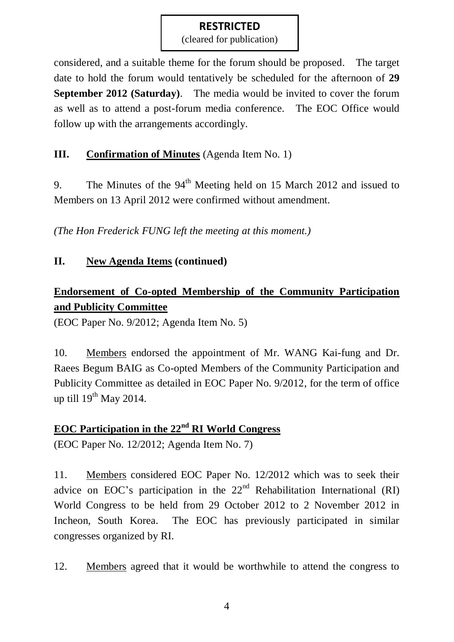(cleared for publication)

considered, and a suitable theme for the forum should be proposed. The target date to hold the forum would tentatively be scheduled for the afternoon of **29 September 2012 (Saturday)**. The media would be invited to cover the forum as well as to attend a post-forum media conference. The EOC Office would follow up with the arrangements accordingly.

### **III. Confirmation of Minutes** (Agenda Item No. 1)

9. The Minutes of the 94<sup>th</sup> Meeting held on 15 March 2012 and issued to Members on 13 April 2012 were confirmed without amendment.

*(The Hon Frederick FUNG left the meeting at this moment.)*

### **II. New Agenda Items (continued)**

# **Endorsement of Co-opted Membership of the Community Participation and Publicity Committee**

(EOC Paper No. 9/2012; Agenda Item No. 5)

10. Members endorsed the appointment of Mr. WANG Kai-fung and Dr. Raees Begum BAIG as Co-opted Members of the Community Participation and Publicity Committee as detailed in EOC Paper No. 9/2012, for the term of office up till  $19^{th}$  May 2014.

### **EOC Participation in the 22nd RI World Congress**

(EOC Paper No. 12/2012; Agenda Item No. 7)

11. Members considered EOC Paper No. 12/2012 which was to seek their advice on EOC's participation in the  $22<sup>nd</sup>$  Rehabilitation International (RI) World Congress to be held from 29 October 2012 to 2 November 2012 in Incheon, South Korea. The EOC has previously participated in similar congresses organized by RI.

12. Members agreed that it would be worthwhile to attend the congress to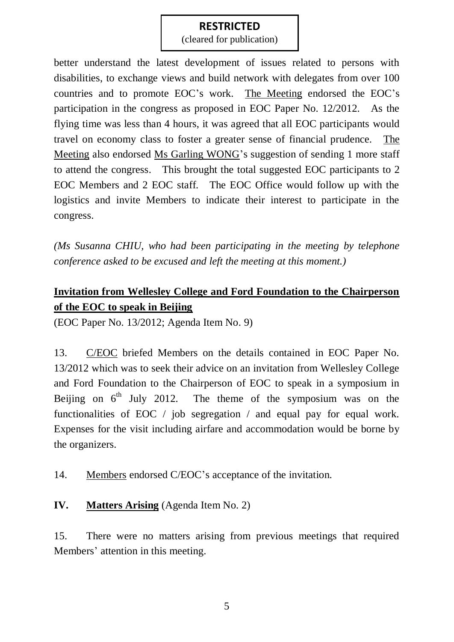(cleared for publication)

better understand the latest development of issues related to persons with disabilities, to exchange views and build network with delegates from over 100 countries and to promote EOC's work. The Meeting endorsed the EOC's participation in the congress as proposed in EOC Paper No. 12/2012. As the flying time was less than 4 hours, it was agreed that all EOC participants would travel on economy class to foster a greater sense of financial prudence. The Meeting also endorsed Ms Garling WONG's suggestion of sending 1 more staff to attend the congress. This brought the total suggested EOC participants to 2 EOC Members and 2 EOC staff. The EOC Office would follow up with the logistics and invite Members to indicate their interest to participate in the congress.

*(Ms Susanna CHIU, who had been participating in the meeting by telephone conference asked to be excused and left the meeting at this moment.)*

## **Invitation from Wellesley College and Ford Foundation to the Chairperson of the EOC to speak in Beijing**

(EOC Paper No. 13/2012; Agenda Item No. 9)

13. C/EOC briefed Members on the details contained in EOC Paper No. 13/2012 which was to seek their advice on an invitation from Wellesley College and Ford Foundation to the Chairperson of EOC to speak in a symposium in Beijing on  $6<sup>th</sup>$  July 2012. The theme of the symposium was on the functionalities of EOC / job segregation / and equal pay for equal work. Expenses for the visit including airfare and accommodation would be borne by the organizers.

14. Members endorsed C/EOC's acceptance of the invitation.

### **IV. Matters Arising** (Agenda Item No. 2)

15. There were no matters arising from previous meetings that required Members' attention in this meeting.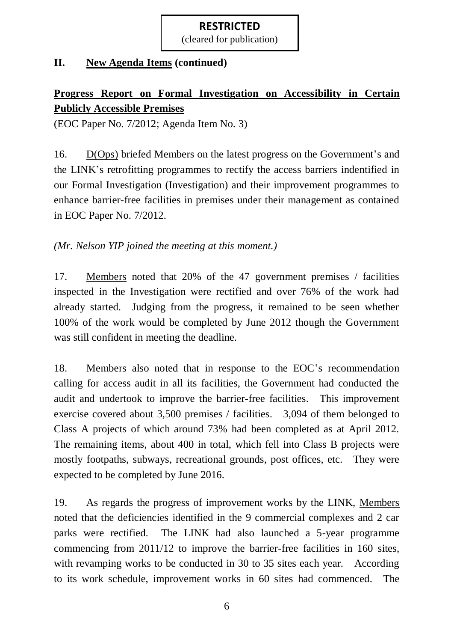(cleared for publication)

#### **II. New Agenda Items (continued)**

# **Progress Report on Formal Investigation on Accessibility in Certain Publicly Accessible Premises**

(EOC Paper No. 7/2012; Agenda Item No. 3)

16. D(Ops) briefed Members on the latest progress on the Government's and the LINK's retrofitting programmes to rectify the access barriers indentified in our Formal Investigation (Investigation) and their improvement programmes to enhance barrier-free facilities in premises under their management as contained in EOC Paper No. 7/2012.

*(Mr. Nelson YIP joined the meeting at this moment.)*

17. Members noted that 20% of the 47 government premises / facilities inspected in the Investigation were rectified and over 76% of the work had already started. Judging from the progress, it remained to be seen whether 100% of the work would be completed by June 2012 though the Government was still confident in meeting the deadline.

18. Members also noted that in response to the EOC's recommendation calling for access audit in all its facilities, the Government had conducted the audit and undertook to improve the barrier-free facilities. This improvement exercise covered about 3,500 premises / facilities. 3,094 of them belonged to Class A projects of which around 73% had been completed as at April 2012. The remaining items, about 400 in total, which fell into Class B projects were mostly footpaths, subways, recreational grounds, post offices, etc. They were expected to be completed by June 2016.

19. As regards the progress of improvement works by the LINK, Members noted that the deficiencies identified in the 9 commercial complexes and 2 car parks were rectified. The LINK had also launched a 5-year programme commencing from 2011/12 to improve the barrier-free facilities in 160 sites, with revamping works to be conducted in 30 to 35 sites each year. According to its work schedule, improvement works in 60 sites had commenced. The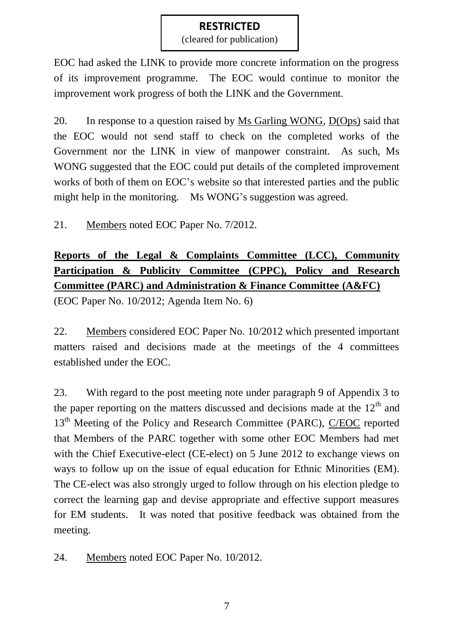(cleared for publication)

EOC had asked the LINK to provide more concrete information on the progress of its improvement programme. The EOC would continue to monitor the improvement work progress of both the LINK and the Government.

20. In response to a question raised by Ms Garling WONG, D(Ops) said that the EOC would not send staff to check on the completed works of the Government nor the LINK in view of manpower constraint. As such, Ms WONG suggested that the EOC could put details of the completed improvement works of both of them on EOC's website so that interested parties and the public might help in the monitoring. Ms WONG's suggestion was agreed.

21. Members noted EOC Paper No. 7/2012.

# **Reports of the Legal & Complaints Committee (LCC), Community Participation & Publicity Committee (CPPC), Policy and Research Committee (PARC) and Administration & Finance Committee (A&FC)**

(EOC Paper No. 10/2012; Agenda Item No. 6)

22. Members considered EOC Paper No. 10/2012 which presented important matters raised and decisions made at the meetings of the 4 committees established under the EOC.

23. With regard to the post meeting note under paragraph 9 of Appendix 3 to the paper reporting on the matters discussed and decisions made at the  $12<sup>th</sup>$  and 13<sup>th</sup> Meeting of the Policy and Research Committee (PARC), C/EOC reported that Members of the PARC together with some other EOC Members had met with the Chief Executive-elect (CE-elect) on 5 June 2012 to exchange views on ways to follow up on the issue of equal education for Ethnic Minorities (EM). The CE-elect was also strongly urged to follow through on his election pledge to correct the learning gap and devise appropriate and effective support measures for EM students. It was noted that positive feedback was obtained from the meeting.

24. Members noted EOC Paper No. 10/2012.